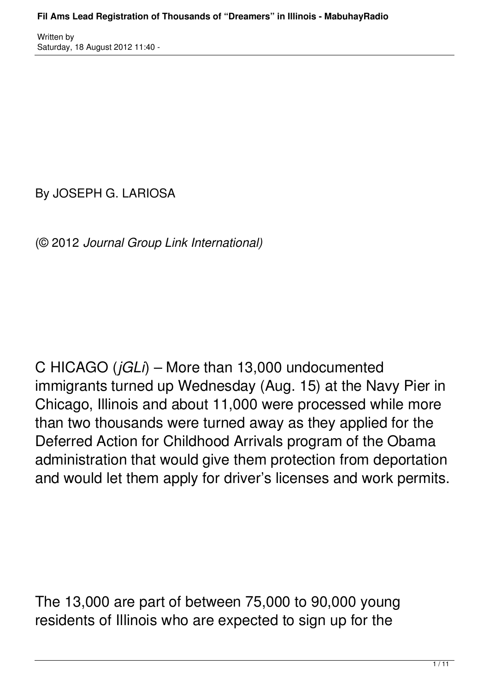By JOSEPH G. LARIOSA

(© 2012 *Journal Group Link International)*

C HICAGO (*jGLi*) – More than 13,000 undocumented immigrants turned up Wednesday (Aug. 15) at the Navy Pier in Chicago, Illinois and about 11,000 were processed while more than two thousands were turned away as they applied for the Deferred Action for Childhood Arrivals program of the Obama administration that would give them protection from deportation and would let them apply for driver's licenses and work permits.

The 13,000 are part of between 75,000 to 90,000 young residents of Illinois who are expected to sign up for the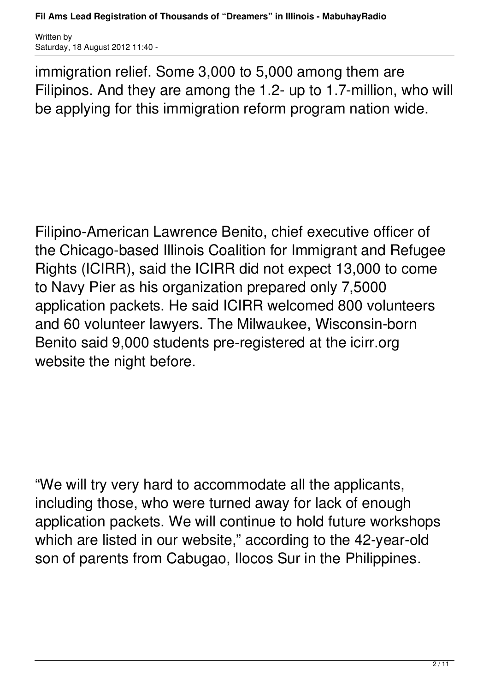immigration relief. Some 3,000 to 5,000 among them are Filipinos. And they are among the 1.2- up to 1.7-million, who will be applying for this immigration reform program nation wide.

Filipino-American Lawrence Benito, chief executive officer of the Chicago-based Illinois Coalition for Immigrant and Refugee Rights (ICIRR), said the ICIRR did not expect 13,000 to come to Navy Pier as his organization prepared only 7,5000 application packets. He said ICIRR welcomed 800 volunteers and 60 volunteer lawyers. The Milwaukee, Wisconsin-born Benito said 9,000 students pre-registered at the icirr.org website the night before.

"We will try very hard to accommodate all the applicants, including those, who were turned away for lack of enough application packets. We will continue to hold future workshops which are listed in our website," according to the 42-year-old son of parents from Cabugao, Ilocos Sur in the Philippines.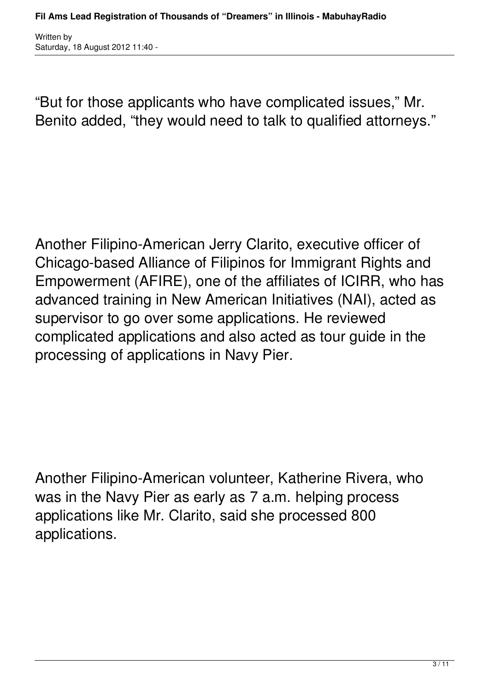"But for those applicants who have complicated issues," Mr. Benito added, "they would need to talk to qualified attorneys."

Another Filipino-American Jerry Clarito, executive officer of Chicago-based Alliance of Filipinos for Immigrant Rights and Empowerment (AFIRE), one of the affiliates of ICIRR, who has advanced training in New American Initiatives (NAI), acted as supervisor to go over some applications. He reviewed complicated applications and also acted as tour guide in the processing of applications in Navy Pier.

Another Filipino-American volunteer, Katherine Rivera, who was in the Navy Pier as early as 7 a.m. helping process applications like Mr. Clarito, said she processed 800 applications.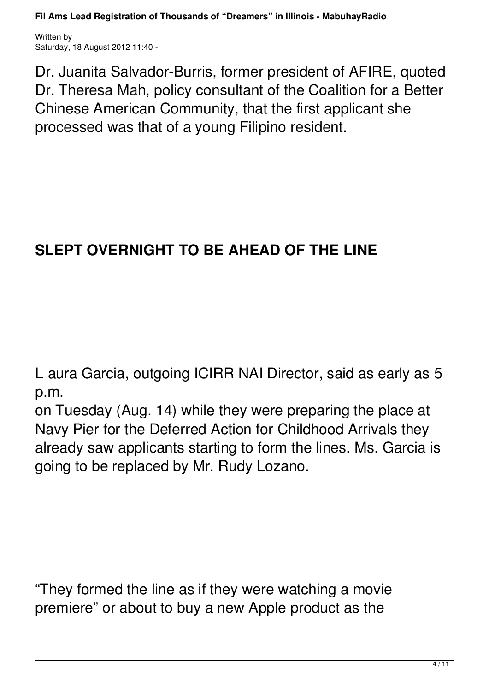**Fil Ams Lead Registration of Thousands of "Dreamers" in Illinois - MabuhayRadio**

Written by Saturday, 18 August 2012 11:40 -

Dr. Juanita Salvador-Burris, former president of AFIRE, quoted Dr. Theresa Mah, policy consultant of the Coalition for a Better Chinese American Community, that the first applicant she processed was that of a young Filipino resident.

## **SLEPT OVERNIGHT TO BE AHEAD OF THE LINE**

L aura Garcia, outgoing ICIRR NAI Director, said as early as 5 p.m.

on Tuesday (Aug. 14) while they were preparing the place at Navy Pier for the Deferred Action for Childhood Arrivals they already saw applicants starting to form the lines. Ms. Garcia is going to be replaced by Mr. Rudy Lozano.

"They formed the line as if they were watching a movie premiere" or about to buy a new Apple product as the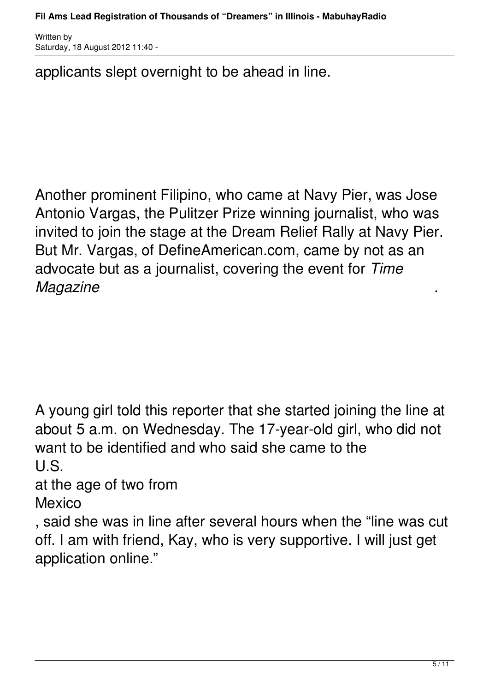applicants slept overnight to be ahead in line.

Another prominent Filipino, who came at Navy Pier, was Jose Antonio Vargas, the Pulitzer Prize winning journalist, who was invited to join the stage at the Dream Relief Rally at Navy Pier. But Mr. Vargas, of DefineAmerican.com, came by not as an advocate but as a journalist, covering the event for *Time Magazine* .

A young girl told this reporter that she started joining the line at about 5 a.m. on Wednesday. The 17-year-old girl, who did not want to be identified and who said she came to the U.S.

at the age of two from

Mexico

, said she was in line after several hours when the "line was cut off. I am with friend, Kay, who is very supportive. I will just get application online."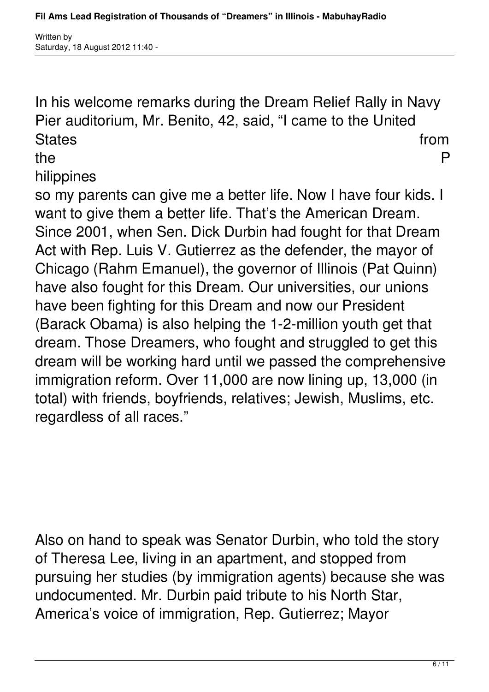In his welcome remarks during the Dream Relief Rally in Navy Pier auditorium, Mr. Benito, 42, said, "I came to the United States from the state of the state of the state of the state of the state of the state of the state of the state of the state of the state of the state of the state of the state of the state of the state of the state of th

the the property of  $\mathsf P$ 

hilippines

so my parents can give me a better life. Now I have four kids. I want to give them a better life. That's the American Dream. Since 2001, when Sen. Dick Durbin had fought for that Dream Act with Rep. Luis V. Gutierrez as the defender, the mayor of Chicago (Rahm Emanuel), the governor of Illinois (Pat Quinn) have also fought for this Dream. Our universities, our unions have been fighting for this Dream and now our President (Barack Obama) is also helping the 1-2-million youth get that dream. Those Dreamers, who fought and struggled to get this dream will be working hard until we passed the comprehensive immigration reform. Over 11,000 are now lining up, 13,000 (in total) with friends, boyfriends, relatives; Jewish, Muslims, etc. regardless of all races."

Also on hand to speak was Senator Durbin, who told the story of Theresa Lee, living in an apartment, and stopped from pursuing her studies (by immigration agents) because she was undocumented. Mr. Durbin paid tribute to his North Star, America's voice of immigration, Rep. Gutierrez; Mayor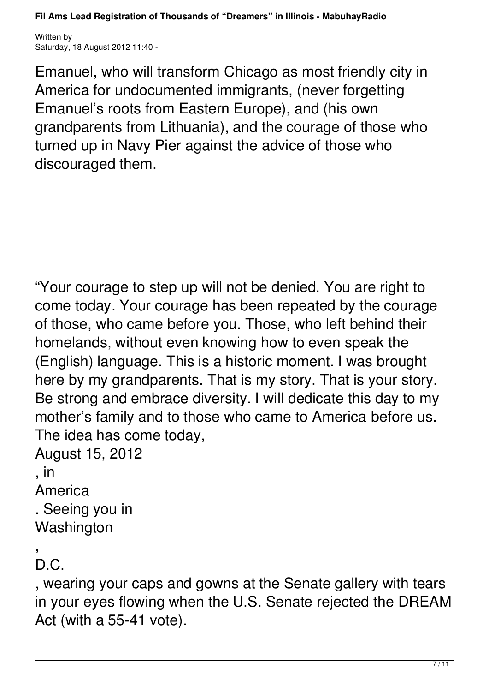Emanuel, who will transform Chicago as most friendly city in America for undocumented immigrants, (never forgetting Emanuel's roots from Eastern Europe), and (his own grandparents from Lithuania), and the courage of those who turned up in Navy Pier against the advice of those who discouraged them.

"Your courage to step up will not be denied. You are right to come today. Your courage has been repeated by the courage of those, who came before you. Those, who left behind their homelands, without even knowing how to even speak the (English) language. This is a historic moment. I was brought here by my grandparents. That is my story. That is your story. Be strong and embrace diversity. I will dedicate this day to my mother's family and to those who came to America before us. The idea has come today,

August 15, 2012

## , in

America

. Seeing you in **Washington** 

,  $D C$ 

, wearing your caps and gowns at the Senate gallery with tears in your eyes flowing when the U.S. Senate rejected the DREAM Act (with a 55-41 vote).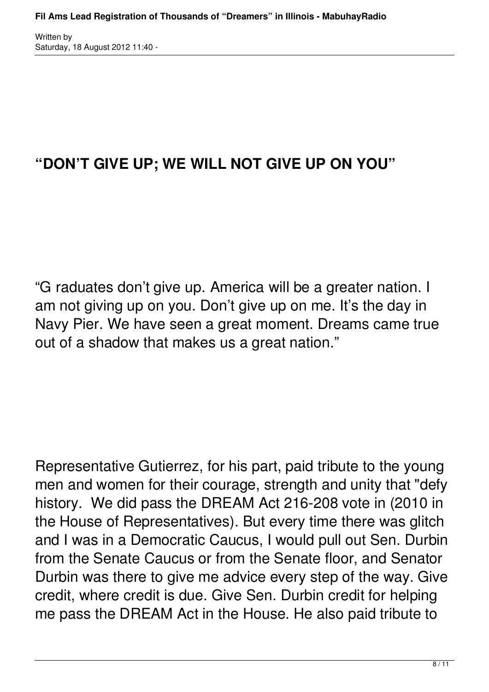## **"DON'T GIVE UP; WE WILL NOT GIVE UP ON YOU"**

"G raduates don't give up. America will be a greater nation. I am not giving up on you. Don't give up on me. It's the day in Navy Pier. We have seen a great moment. Dreams came true out of a shadow that makes us a great nation."

Representative Gutierrez, for his part, paid tribute to the young men and women for their courage, strength and unity that "defy history. We did pass the DREAM Act 216-208 vote in (2010 in the House of Representatives). But every time there was glitch and I was in a Democratic Caucus, I would pull out Sen. Durbin from the Senate Caucus or from the Senate floor, and Senator Durbin was there to give me advice every step of the way. Give credit, where credit is due. Give Sen. Durbin credit for helping me pass the DREAM Act in the House. He also paid tribute to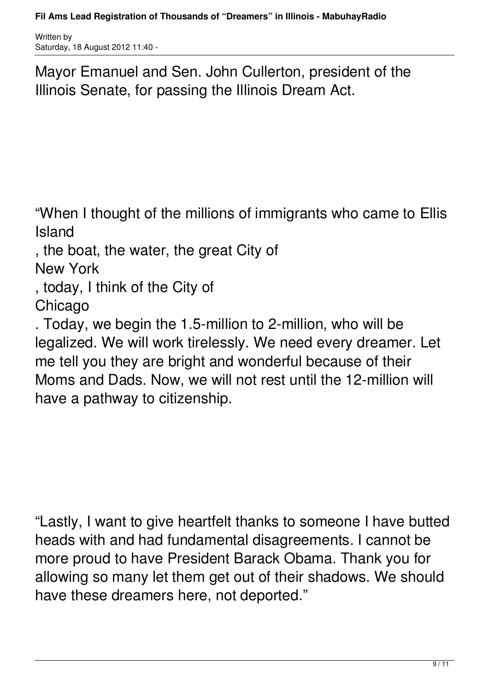Mayor Emanuel and Sen. John Cullerton, president of the Illinois Senate, for passing the Illinois Dream Act.

"When I thought of the millions of immigrants who came to Ellis Island

, the boat, the water, the great City of

New York

, today, I think of the City of

Chicago

. Today, we begin the 1.5-million to 2-million, who will be legalized. We will work tirelessly. We need every dreamer. Let me tell you they are bright and wonderful because of their Moms and Dads. Now, we will not rest until the 12-million will have a pathway to citizenship.

"Lastly, I want to give heartfelt thanks to someone I have butted heads with and had fundamental disagreements. I cannot be more proud to have President Barack Obama. Thank you for allowing so many let them get out of their shadows. We should have these dreamers here, not deported."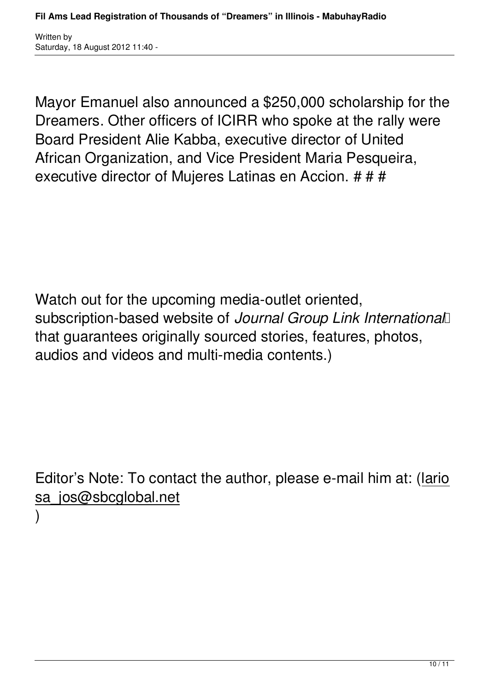Mayor Emanuel also announced a \$250,000 scholarship for the Dreamers. Other officers of ICIRR who spoke at the rally were Board President Alie Kabba, executive director of United African Organization, and Vice President Maria Pesqueira, executive director of Mujeres Latinas en Accion. # # #

Watch out for the upcoming media-outlet oriented. subscription-based website of *Journal Group Link International*  that guarantees originally sourced stories, features, photos, audios and videos and multi-media contents.)

Editor's Note: To contact the author, please e-mail him at: (lario sa\_jos@sbcglobal.net

)